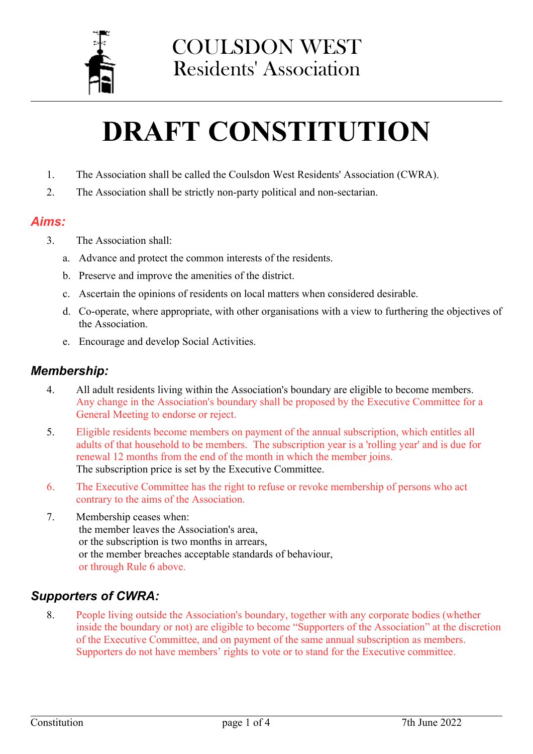

# **DRAFT CONSTITUTION**

- 1. The Association shall be called the Coulsdon West Residents' Association (CWRA).
- 2. The Association shall be strictly non-party political and non-sectarian.

### *Aims:*

- 3. The Association shall:
	- a. Advance and protect the common interests of the residents.
	- b. Preserve and improve the amenities of the district.
	- c. Ascertain the opinions of residents on local matters when considered desirable.
	- d. Co-operate, where appropriate, with other organisations with a view to furthering the objectives of the Association.
	- e. Encourage and develop Social Activities.

#### *Membership:*

- 4. All adult residents living within the Association's boundary are eligible to become members. Any change in the Association's boundary shall be proposed by the Executive Committee for a General Meeting to endorse or reject.
- 5. Eligible residents become members on payment of the annual subscription, which entitles all adults of that household to be members. The subscription year is a 'rolling year' and is due for renewal 12 months from the end of the month in which the member joins. The subscription price is set by the Executive Committee.
- 6. The Executive Committee has the right to refuse or revoke membership of persons who act contrary to the aims of the Association.
- 7. Membership ceases when: the member leaves the Association's area, or the subscription is two months in arrears, or the member breaches acceptable standards of behaviour, or through Rule 6 above.

# *Supporters of CWRA:*

8. People living outside the Association's boundary, together with any corporate bodies (whether inside the boundary or not) are eligible to become "Supporters of the Association" at the discretion of the Executive Committee, and on payment of the same annual subscription as members. Supporters do not have members' rights to vote or to stand for the Executive committee.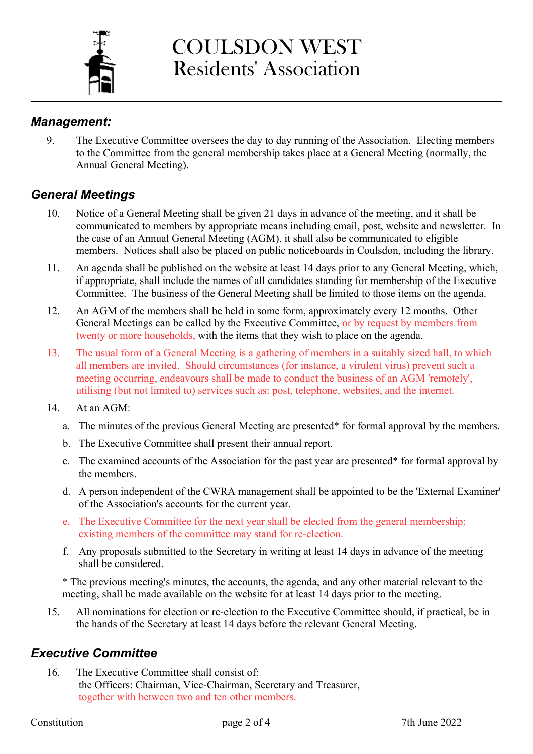

COULSDON WEST Residents' Association

### *Management:*

9. The Executive Committee oversees the day to day running of the Association. Electing members to the Committee from the general membership takes place at a General Meeting (normally, the Annual General Meeting).

# *General Meetings*

- 10. Notice of a General Meeting shall be given 21 days in advance of the meeting, and it shall be communicated to members by appropriate means including email, post, website and newsletter. In the case of an Annual General Meeting (AGM), it shall also be communicated to eligible members. Notices shall also be placed on public noticeboards in Coulsdon, including the library.
- 11. An agenda shall be published on the website at least 14 days prior to any General Meeting, which, if appropriate, shall include the names of all candidates standing for membership of the Executive Committee. The business of the General Meeting shall be limited to those items on the agenda.
- 12. An AGM of the members shall be held in some form, approximately every 12 months. Other General Meetings can be called by the Executive Committee, or by request by members from twenty or more households, with the items that they wish to place on the agenda.
- 13. The usual form of a General Meeting is a gathering of members in a suitably sized hall, to which all members are invited. Should circumstances (for instance, a virulent virus) prevent such a meeting occurring, endeavours shall be made to conduct the business of an AGM 'remotely', utilising (but not limited to) services such as: post, telephone, websites, and the internet.
- 14. At an AGM:
	- a. The minutes of the previous General Meeting are presented\* for formal approval by the members.
	- b. The Executive Committee shall present their annual report.
	- c. The examined accounts of the Association for the past year are presented\* for formal approval by the members.
	- d. A person independent of the CWRA management shall be appointed to be the 'External Examiner' of the Association's accounts for the current year.
	- e. The Executive Committee for the next year shall be elected from the general membership; existing members of the committee may stand for re-election.
	- f. Any proposals submitted to the Secretary in writing at least 14 days in advance of the meeting shall be considered.

\* The previous meeting's minutes, the accounts, the agenda, and any other material relevant to the meeting, shall be made available on the website for at least 14 days prior to the meeting.

15. All nominations for election or re-election to the Executive Committee should, if practical, be in the hands of the Secretary at least 14 days before the relevant General Meeting.

# *Executive Committee*

16. The Executive Committee shall consist of: the Officers: Chairman, Vice-Chairman, Secretary and Treasurer, together with between two and ten other members.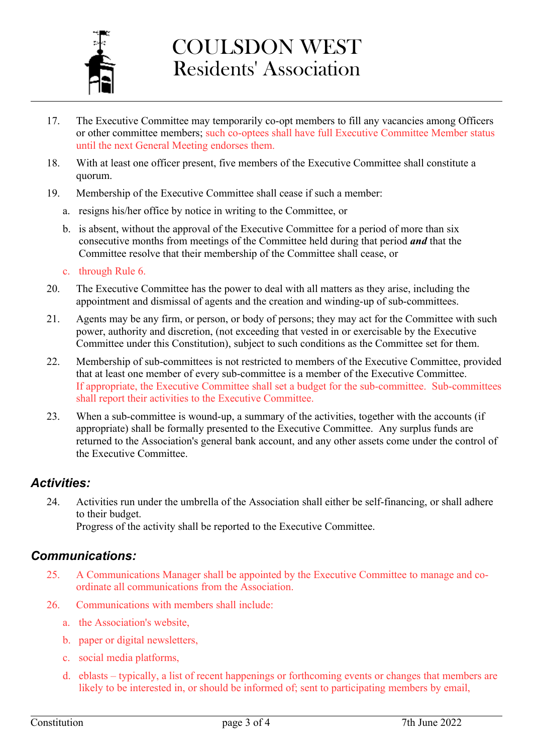

# COULSDON WEST Residents' Association

- 17. The Executive Committee may temporarily co-opt members to fill any vacancies among Officers or other committee members; such co-optees shall have full Executive Committee Member status until the next General Meeting endorses them.
- 18. With at least one officer present, five members of the Executive Committee shall constitute a quorum.
- 19. Membership of the Executive Committee shall cease if such a member:
	- a. resigns his/her office by notice in writing to the Committee, or
	- b. is absent, without the approval of the Executive Committee for a period of more than six consecutive months from meetings of the Committee held during that period *and* that the Committee resolve that their membership of the Committee shall cease, or
	- c. through Rule 6.
- 20. The Executive Committee has the power to deal with all matters as they arise, including the appointment and dismissal of agents and the creation and winding-up of sub-committees.
- 21. Agents may be any firm, or person, or body of persons; they may act for the Committee with such power, authority and discretion, (not exceeding that vested in or exercisable by the Executive Committee under this Constitution), subject to such conditions as the Committee set for them.
- 22. Membership of sub-committees is not restricted to members of the Executive Committee, provided that at least one member of every sub-committee is a member of the Executive Committee. If appropriate, the Executive Committee shall set a budget for the sub-committee. Sub-committees shall report their activities to the Executive Committee.
- 23. When a sub-committee is wound-up, a summary of the activities, together with the accounts (if appropriate) shall be formally presented to the Executive Committee. Any surplus funds are returned to the Association's general bank account, and any other assets come under the control of the Executive Committee.

# *Activities:*

24. Activities run under the umbrella of the Association shall either be self-financing, or shall adhere to their budget.

Progress of the activity shall be reported to the Executive Committee.

# *Communications:*

- 25. A Communications Manager shall be appointed by the Executive Committee to manage and coordinate all communications from the Association.
- 26. Communications with members shall include:
	- a. the Association's website,
	- b. paper or digital newsletters,
	- c. social media platforms,
	- d. eblasts typically, a list of recent happenings or forthcoming events or changes that members are likely to be interested in, or should be informed of; sent to participating members by email,